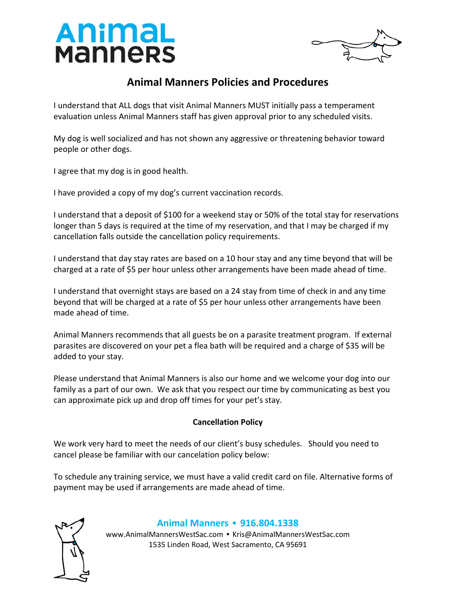



## **Animal Manners Policies and Procedures**

I understand that ALL dogs that visit Animal Manners MUST initially pass a temperament evaluation unless Animal Manners staff has given approval prior to any scheduled visits.

My dog is well socialized and has not shown any aggressive or threatening behavior toward people or other dogs.

I agree that my dog is in good health.

I have provided a copy of my dog's current vaccination records.

I understand that a deposit of \$100 for a weekend stay or 50% of the total stay for reservations longer than 5 days is required at the time of my reservation, and that I may be charged if my cancellation falls outside the cancellation policy requirements.

I understand that day stay rates are based on a 10 hour stay and any time beyond that will be charged at a rate of \$5 per hour unless other arrangements have been made ahead of time.

I understand that overnight stays are based on a 24 stay from time of check in and any time beyond that will be charged at a rate of \$5 per hour unless other arrangements have been made ahead of time.

Animal Manners recommends that all guests be on a parasite treatment program. If external parasites are discovered on your pet a flea bath will be required and a charge of \$35 will be added to your stay.

Please understand that Animal Manners is also our home and we welcome your dog into our family as a part of our own. We ask that you respect our time by communicating as best you can approximate pick up and drop off times for your pet's stay.

## **Cancellation Policy**

We work very hard to meet the needs of our client's busy schedules. Should you need to cancel please be familiar with our cancelation policy below:

To schedule any training service, we must have a valid credit card on file. Alternative forms of payment may be used if arrangements are made ahead of time.



## **Animal Manners** • **916.804.1338**

www.AnimalMannersWestSac.com • Kris@AnimalMannersWestSac.com 1535 Linden Road, West Sacramento, CA 95691